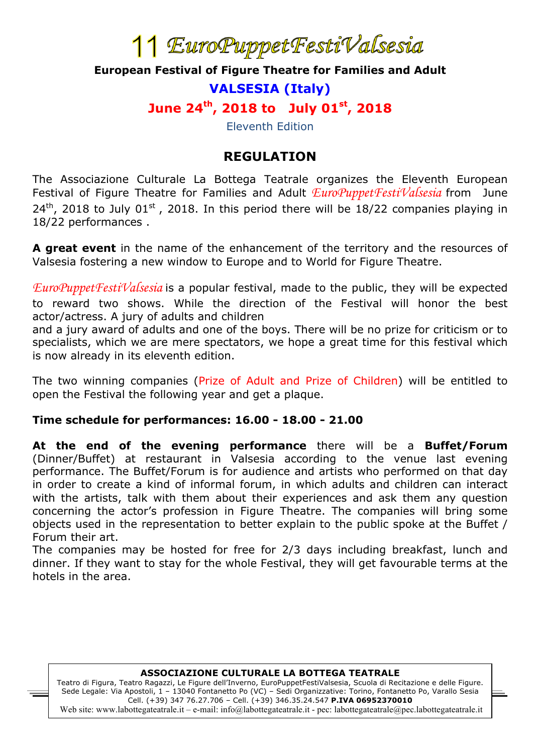# <sup>1</sup> EuroPuppet FestiValsesia<br>**European Festival of Figure Theatre for Families and Adult**

# **VALSESIA (Italy)**

**June 24th, 2018 to July 01st, 2018**

Eleventh Edition

### **REGULATION**

The Associazione Culturale La Bottega Teatrale organizes the Eleventh European Festival of Figure Theatre for Families and Adult *EuroPuppetFestiValsesia* from June  $24<sup>th</sup>$ , 2018 to July 01<sup>st</sup>, 2018. In this period there will be 18/22 companies playing in 18/22 performances .

**A great event** in the name of the enhancement of the territory and the resources of Valsesia fostering a new window to Europe and to World for Figure Theatre.

*EuroPuppetFestiValsesia* is a popular festival, made to the public, they will be expected to reward two shows. While the direction of the Festival will honor the best actor/actress. A jury of adults and children

and a jury award of adults and one of the boys. There will be no prize for criticism or to specialists, which we are mere spectators, we hope a great time for this festival which is now already in its eleventh edition.

The two winning companies (Prize of Adult and Prize of Children) will be entitled to open the Festival the following year and get a plaque.

#### **Time schedule for performances: 16.00 - 18.00 - 21.00**

**At the end of the evening performance** there will be a **Buffet/Forum**  (Dinner/Buffet) at restaurant in Valsesia according to the venue last evening performance. The Buffet/Forum is for audience and artists who performed on that day in order to create a kind of informal forum, in which adults and children can interact with the artists, talk with them about their experiences and ask them any question concerning the actor's profession in Figure Theatre. The companies will bring some objects used in the representation to better explain to the public spoke at the Buffet / Forum their art.

The companies may be hosted for free for 2/3 days including breakfast, lunch and dinner. If they want to stay for the whole Festival, they will get favourable terms at the hotels in the area.

#### **ASSOCIAZIONE CULTURALE LA BOTTEGA TEATRALE**

Teatro di Figura, Teatro Ragazzi, Le Figure dell'Inverno, EuroPuppetFestiValsesia, Scuola di Recitazione e delle Figure. Sede Legale: Via Apostoli, 1 – 13040 Fontanetto Po (VC) – Sedi Organizzative: Torino, Fontanetto Po, Varallo Sesia Cell. (+39) 347 76.27.706 – Cell. (+39) 346.35.24.547 **P.IVA 06952370010** Web site: www.labottegateatrale.it – e-mail: info@labottegateatrale.it - pec: labottegateatrale@pec.labottegateatrale.it